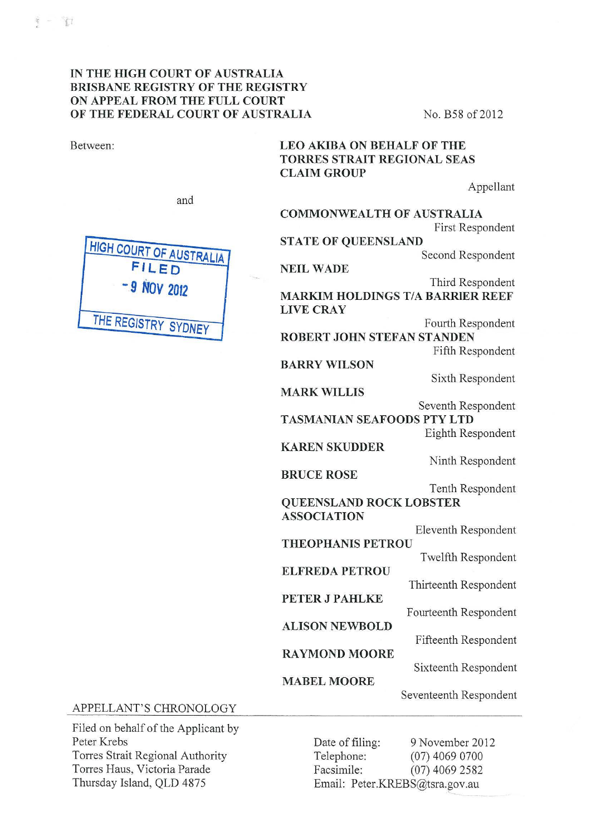Between:

#### IN THE HIGH COURT OF AUSTRALIA BRISBANE REGISTRY OF THE REGISTRY ON APPEAL FROM THE FULL COURT OF THE FEDERAL COURT OF AUSTRALIA No. B58 of 2012

# LEO AKJBA ON BEHALF OF THE TORRES STRAIT REGIONAL SEAS CLAIM GROUP

COMMONWEALTH OF AUSTRALIA

Appellant

and



First Respondent STATE OF QUEENSLAND Second Respondent NEIL WADE Third Respondent MARKIM HOLDINGS T/A BARRIER REEF LIVECRAY Fourth Respondent ROBERT JOHN STEFAN STANDEN Fifth Respondent BARRY WILSON Sixth Respondent MARK WILLIS Seventh Respondent TASMANIAN SEAFOODS PTY LTD Eighth Respondent KARENSKUDDER Ninth Respondent BRUCE ROSE Tenth Respondent QUEENSLAND ROCK LOBSTER ASSOCIATION Eleventh Respondent THEOPHANIS PETROU Twelfth Respondent ELFREDA PETROU Thirteenth Respondent PETER J PAHLKE Fourteenth Respondent ALISON NEWBOLD Fifteenth Respondent RAYMOND MOORE Sixteenth Respondent MABEL MOORE Seventeenth Respondent

#### APPELLANT'S CHRONOLOGY

Filed on behalf of the Applicant by Peter Krebs Torres Strait Regional Authority Torres Haus, Victoria Parade Thursday Island, QLD 4875

Date of filing: 9 November 2012 Telephone: (07) 4069 0700 Facsimile: (07) 4069 2582 Email: Peter.KREBS@tsra.gov.au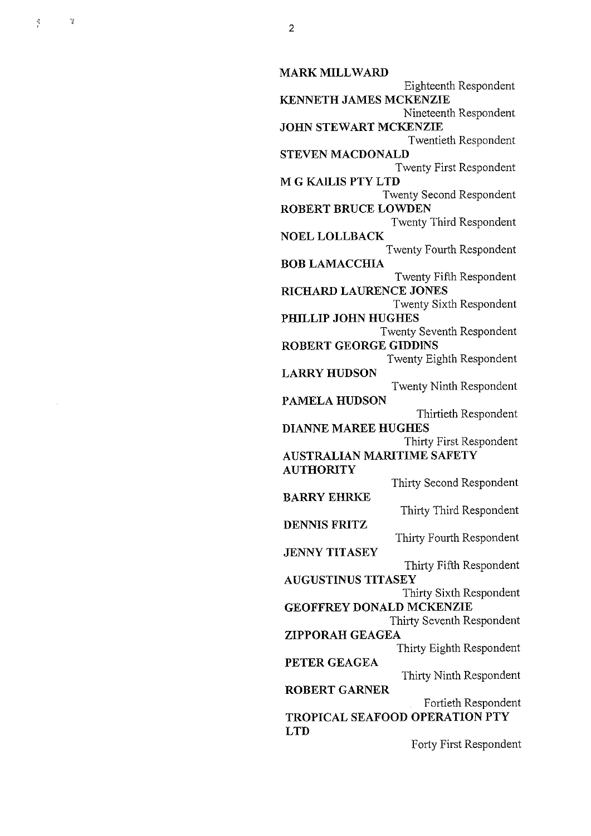$\gamma_2$ 

**MARK MILLWARD**  Eighteenth Respondent **KENNETH JAMES MCKENZIE**  Nineteenth Respondent **JOHN STEWART MCKENZIE**  Twentieth Respondent **STEVEN MACDONALD**  Twenty First Respondent **M G KAlLIS PTY LTD**  Twenty Second Respondent **ROBERT BRUCE LOWDEN**  Twenty Third Respondent **NOEL LOLLBACK**  Twenty Fourth Respondent **BOB LAMACCHIA**  Twenty Fifth Respondent **RICHARD LAURENCE JONES**  Twenty Sixth Respondent **PHILLIP JOHN HUGHES**  Twenty Seventh Respondent **ROBERT GEORGE GIDDINS**  Twenty Eighth Respondent **LARRY HUDSON**  Twenty Ninth Respondent **PAMELA HUDSON**  Thirtieth Respondent **DIANNE MAREE HUGHES**  Thirty First Respondent **AUSTRALIAN MARITIME SAFETY AUTHORITY**  Thirty Second Respondent **BARRY EHRKE**  Thirty Third Respondent **DENNIS FRITZ**  Thirty Fourth Respondent **JENNY TITASEY** Thirty Fifth Respondent **AUGUSTINUS TITASEY**  Thirty Sixth Respondent **GEOFFREY DONALD MCKENZIE**  Thirty Seventh Respondent **ZIPPORAH GEAGEA**  Thirty Eighth Respondent **PETER GEAGEA**  Thirty Ninth Respondent **ROBERT GARNER**  Fortieth Respondent **TROPICAL SEAFOOD OPERATION PTY LTD**  Forty First Respondent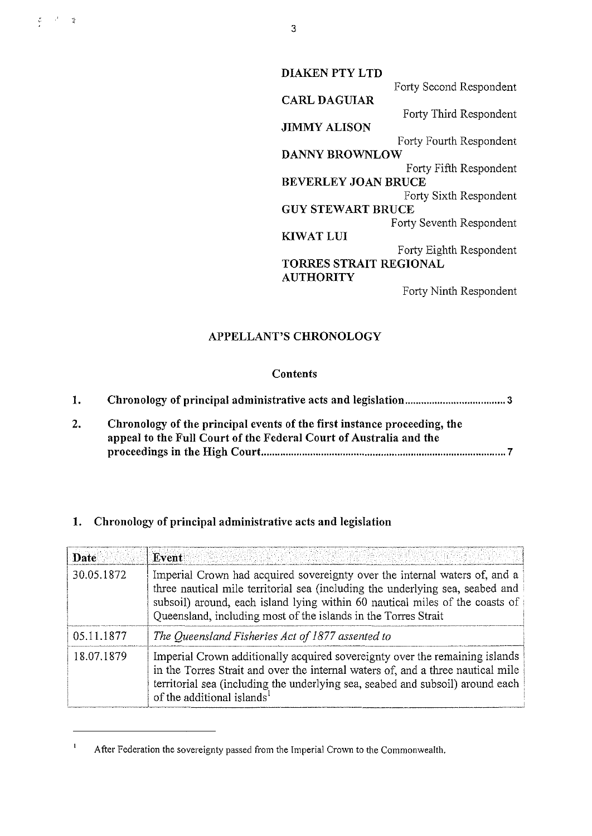**DIAKEN PTY LTD**  Forty Second Respondent **CARL DAGUIAR**  Forty Third Respondent **JIMMY ALISON**  Forty Fourth Respondent **DANNY BROWNLOW**  Forty Fifth Respondent **BEVERLEYJOANBRUCE**  Forty Sixth Respondent **GUY STEWART BRUCE**  Forty Seventh Respondent **KIWATLUI**  Forty Eighth Respondent **TORRES STRAIT REGIONAL AUTHORITY** 

Forty Ninth Respondent

### **APPELLANT'S CHRONOLOGY**

#### **Contents**

| 1. |                                                                                                                                                |
|----|------------------------------------------------------------------------------------------------------------------------------------------------|
|    | Chronology of the principal events of the first instance proceeding, the<br>appeal to the Full Court of the Federal Court of Australia and the |
|    |                                                                                                                                                |

## **1. Chronology of principal administrative acts and legislation**

| Date       | onia profesoral interacción de la factación de la facta de la caractería. A la facta de la facta de la composi<br>El desenvolverses de la caractería de la facta de la facta de la facta de la facta de la facta de la facta de<br>D<br>Event                                                                 |
|------------|---------------------------------------------------------------------------------------------------------------------------------------------------------------------------------------------------------------------------------------------------------------------------------------------------------------|
| 30.05.1872 | Imperial Crown had acquired sovereignty over the internal waters of, and a<br>three nautical mile territorial sea (including the underlying sea, seabed and<br>subsoil) around, each island lying within 60 nautical miles of the coasts of<br>Queensland, including most of the islands in the Torres Strait |
| 05.11.1877 | The Queensland Fisheries Act of 1877 assented to                                                                                                                                                                                                                                                              |
| 18.07.1879 | Imperial Crown additionally acquired sovereignty over the remaining islands<br>in the Torres Strait and over the internal waters of, and a three nautical mile<br>territorial sea (including the underlying sea, seabed and subsoil) around each<br>of the additional islands <sup>1</sup>                    |

 $\mathbf 1$ After Federation the sovereignty passed from the Imperial Crown to the Commonwealth.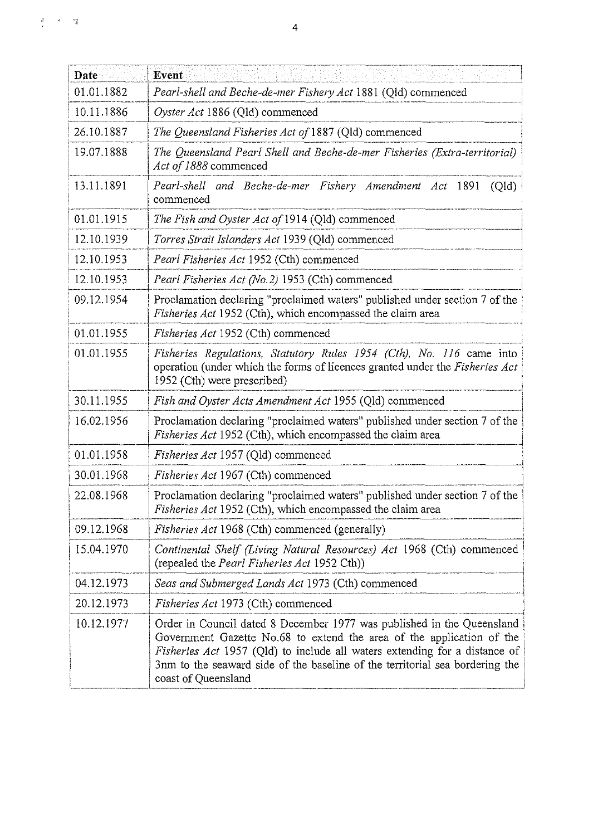| Date       | Event                                                                                                                                                                                                                                                                                                                                |
|------------|--------------------------------------------------------------------------------------------------------------------------------------------------------------------------------------------------------------------------------------------------------------------------------------------------------------------------------------|
| 01.01.1882 | Pearl-shell and Beche-de-mer Fishery Act 1881 (Qld) commenced                                                                                                                                                                                                                                                                        |
| 10.11.1886 | Oyster Act 1886 (Qld) commenced                                                                                                                                                                                                                                                                                                      |
| 26.10.1887 | The Queensland Fisheries Act of 1887 (Qld) commenced                                                                                                                                                                                                                                                                                 |
| 19.07.1888 | The Queensland Pearl Shell and Beche-de-mer Fisheries (Extra-territorial)<br>Act of 1888 commenced                                                                                                                                                                                                                                   |
| 13.11.1891 | Pearl-shell and Beche-de-mer Fishery Amendment Act 1891<br>(Qld)<br>commenced                                                                                                                                                                                                                                                        |
| 01.01.1915 | The Fish and Oyster Act of 1914 (Qld) commenced                                                                                                                                                                                                                                                                                      |
| 12.10.1939 | Torres Strait Islanders Act 1939 (Qld) commenced                                                                                                                                                                                                                                                                                     |
| 12.10.1953 | Pearl Fisheries Act 1952 (Cth) commenced                                                                                                                                                                                                                                                                                             |
| 12.10.1953 | Pearl Fisheries Act (No.2) 1953 (Cth) commenced                                                                                                                                                                                                                                                                                      |
| 09.12.1954 | Proclamation declaring "proclaimed waters" published under section 7 of the<br><i>Fisheries Act</i> 1952 (Cth), which encompassed the claim area                                                                                                                                                                                     |
| 01.01.1955 | Fisheries Act 1952 (Cth) commenced                                                                                                                                                                                                                                                                                                   |
| 01.01.1955 | Fisheries Regulations, Statutory Rules 1954 (Cth), No. 116 came into<br>operation (under which the forms of licences granted under the Fisheries Act<br>1952 (Cth) were prescribed)                                                                                                                                                  |
| 30.11.1955 | Fish and Oyster Acts Amendment Act 1955 (Qld) commenced                                                                                                                                                                                                                                                                              |
| 16.02.1956 | Proclamation declaring "proclaimed waters" published under section 7 of the<br>Fisheries Act 1952 (Cth), which encompassed the claim area                                                                                                                                                                                            |
| 01.01.1958 | Fisheries Act 1957 (Qld) commenced                                                                                                                                                                                                                                                                                                   |
| 30.01.1968 | Fisheries Act 1967 (Cth) commenced                                                                                                                                                                                                                                                                                                   |
| 22.08.1968 | Proclamation declaring "proclaimed waters" published under section 7 of the<br>Fisheries Act 1952 (Cth), which encompassed the claim area                                                                                                                                                                                            |
| 09.12.1968 | <i>Fisheries Act</i> 1968 (Cth) commenced (generally)                                                                                                                                                                                                                                                                                |
| 15.04.1970 | Continental Shelf (Living Natural Resources) Act 1968 (Cth) commenced<br>(repealed the <i>Pearl Fisheries Act</i> 1952 Cth))                                                                                                                                                                                                         |
| 04.12.1973 | Seas and Submerged Lands Act 1973 (Cth) commenced                                                                                                                                                                                                                                                                                    |
| 20.12.1973 | Fisheries Act 1973 (Cth) commenced                                                                                                                                                                                                                                                                                                   |
| 10.12.1977 | Order in Council dated 8 December 1977 was published in the Queensland<br>Government Gazette No.68 to extend the area of the application of the<br>Fisheries Act 1957 (Qld) to include all waters extending for a distance of<br>3nm to the seaward side of the baseline of the territorial sea bordering the<br>coast of Queensland |

 $\frac{1}{4}$  ,  $\frac{1}{2}$  ,  $\frac{1}{4}$  ,  $\frac{1}{4}$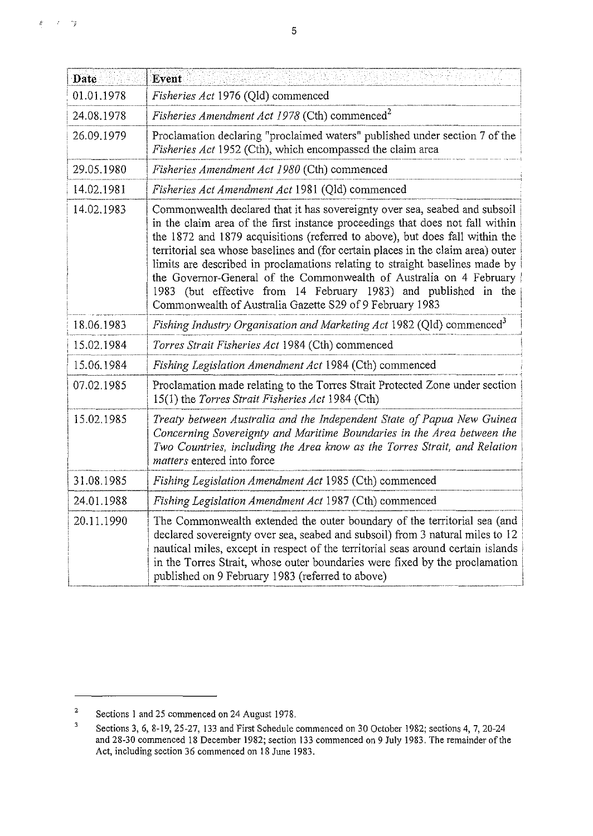| Date       | Event                                                                                                                                                                                                                                                                                                                                                                                                                                                                                                                                                                                                                 |
|------------|-----------------------------------------------------------------------------------------------------------------------------------------------------------------------------------------------------------------------------------------------------------------------------------------------------------------------------------------------------------------------------------------------------------------------------------------------------------------------------------------------------------------------------------------------------------------------------------------------------------------------|
| 01.01.1978 | Fisheries Act 1976 (Qld) commenced                                                                                                                                                                                                                                                                                                                                                                                                                                                                                                                                                                                    |
| 24.08.1978 | <i>Fisheries Amendment Act 1978</i> (Cth) commenced <sup>2</sup>                                                                                                                                                                                                                                                                                                                                                                                                                                                                                                                                                      |
| 26.09.1979 | Proclamation declaring "proclaimed waters" published under section 7 of the<br>Fisheries Act 1952 (Cth), which encompassed the claim area                                                                                                                                                                                                                                                                                                                                                                                                                                                                             |
| 29.05.1980 | Fisheries Amendment Act 1980 (Cth) commenced                                                                                                                                                                                                                                                                                                                                                                                                                                                                                                                                                                          |
| 14.02.1981 | Fisheries Act Amendment Act 1981 (Qld) commenced                                                                                                                                                                                                                                                                                                                                                                                                                                                                                                                                                                      |
| 14.02.1983 | Commonwealth declared that it has sovereignty over sea, seabed and subsoil<br>in the claim area of the first instance proceedings that does not fall within<br>the 1872 and 1879 acquisitions (referred to above), but does fall within the<br>territorial sea whose baselines and (for certain places in the claim area) outer<br>limits are described in proclamations relating to straight baselines made by<br>the Governor-General of the Commonwealth of Australia on 4 February<br>1983 (but effective from 14 February 1983) and published in the<br>Commonwealth of Australia Gazette S29 of 9 February 1983 |
| 18.06.1983 | Fishing Industry Organisation and Marketing Act 1982 (Qld) commenced <sup>3</sup>                                                                                                                                                                                                                                                                                                                                                                                                                                                                                                                                     |
| 15.02.1984 | Torres Strait Fisheries Act 1984 (Cth) commenced                                                                                                                                                                                                                                                                                                                                                                                                                                                                                                                                                                      |
| 15.06.1984 | Fishing Legislation Amendment Act 1984 (Cth) commenced                                                                                                                                                                                                                                                                                                                                                                                                                                                                                                                                                                |
| 07.02.1985 | Proclamation made relating to the Torres Strait Protected Zone under section<br>15(1) the Torres Strait Fisheries Act 1984 (Cth)                                                                                                                                                                                                                                                                                                                                                                                                                                                                                      |
| 15.02.1985 | Treaty between Australia and the Independent State of Papua New Guinea<br>Concerning Sovereignty and Maritime Boundaries in the Area between the<br>Two Countries, including the Area know as the Torres Strait, and Relation<br>matters entered into force                                                                                                                                                                                                                                                                                                                                                           |
| 31.08.1985 | Fishing Legislation Amendment Act 1985 (Cth) commenced                                                                                                                                                                                                                                                                                                                                                                                                                                                                                                                                                                |
| 24.01.1988 | Fishing Legislation Amendment Act 1987 (Cth) commenced                                                                                                                                                                                                                                                                                                                                                                                                                                                                                                                                                                |
| 20.11.1990 | The Commonwealth extended the outer boundary of the territorial sea (and<br>declared sovereignty over sea, seabed and subsoil) from 3 natural miles to 12<br>nautical miles, except in respect of the territorial seas around certain islands<br>in the Torres Strait, whose outer boundaries were fixed by the proclamation<br>published on 9 February 1983 (referred to above)                                                                                                                                                                                                                                      |

·;

 $\vec{k}$ 

<sup>&</sup>lt;sup>2</sup> Sections 1 and 25 commenced on 24 August 1978.<br> $\frac{3}{2}$  Sections 3.6.8.19.25.27.123 and First Schedules

Sections 3, 6, 8-19,25-27, 133 and First Schedule commenced on 30 October 1982; sections 4, 7, 20-24 and 28-30 commenced 18 December 1982; section 133 commenced on 9 July 1983. The remainder of the Act, including section 36 commenced on 18 June 1983.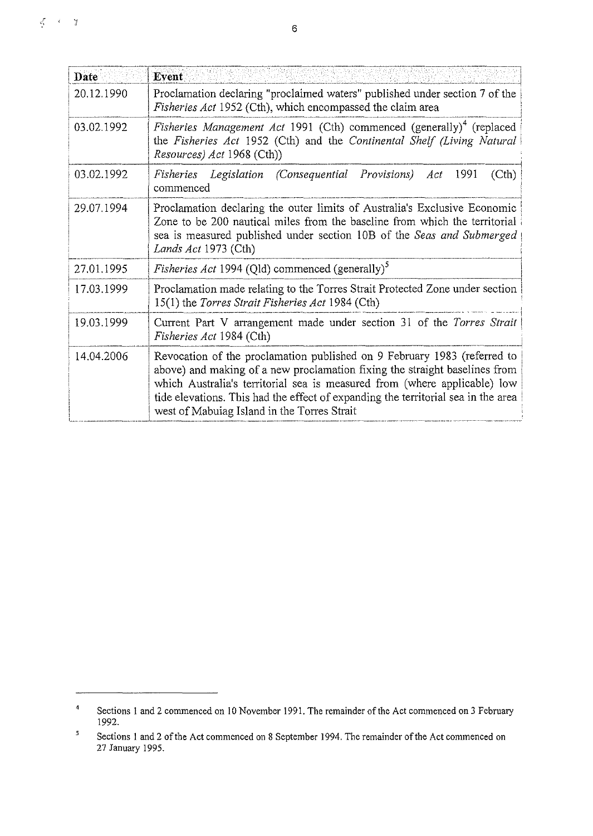| Date       | Event                                                                                                                                                                                                                                                    |
|------------|----------------------------------------------------------------------------------------------------------------------------------------------------------------------------------------------------------------------------------------------------------|
| 20.12.1990 | Proclamation declaring "proclaimed waters" published under section 7 of the<br>Fisheries Act 1952 (Cth), which encompassed the claim area                                                                                                                |
| 03.02.1992 | <i>Fisheries Management Act</i> 1991 (Cth) commenced (generally) <sup>4</sup> (replaced<br>the Fisheries Act 1952 (Cth) and the Continental Shelf (Living Natural<br><i>Resources) Act</i> 1968 (Cth))                                                   |
| 03.02.1992 | Fisheries Legislation (Consequential Provisions) Act 1991<br>(Cth)<br>commenced                                                                                                                                                                          |
| 29.07.1994 | Proclamation declaring the outer limits of Australia's Exclusive Economic<br>Zone to be 200 nautical miles from the baseline from which the territorial<br>sea is measured published under section 10B of the Seas and Submerged<br>Lands Act 1973 (Cth) |
| 27.01.1995 | <i>Fisheries Act</i> 1994 (Qld) commenced (generally) <sup>5</sup>                                                                                                                                                                                       |
| 17.03.1999 | Proclamation made relating to the Torres Strait Protected Zone under section<br>15(1) the <i>Torres Strait Fisheries Act</i> 1984 (Cth)                                                                                                                  |
| 19.03.1999 | Current Part V arrangement made under section 31 of the Torres Strait                                                                                                                                                                                    |

*Fisheries Act* 1984 (Cth) ;

| 14,04.2006 | Revocation of the proclamation published on 9 February 1983 (referred to<br>above) and making of a new proclamation fixing the straight baselines from<br>which Australia's territorial sea is measured from (where applicable) low<br>tide elevations. This had the effect of expanding the territorial sea in the area<br>west of Mabuiag Island in the Torres Strait |
|------------|-------------------------------------------------------------------------------------------------------------------------------------------------------------------------------------------------------------------------------------------------------------------------------------------------------------------------------------------------------------------------|
|            |                                                                                                                                                                                                                                                                                                                                                                         |

<sup>4</sup> Sections I and 2 commenced on 10 November 1991. The remainder of the Act commenced on 3 February 1992.

 $\sqrt{5}$ Sections I and 2 of the Act commenced on 8 September 1994. The remainder of the Act commenced on 27 January 1995.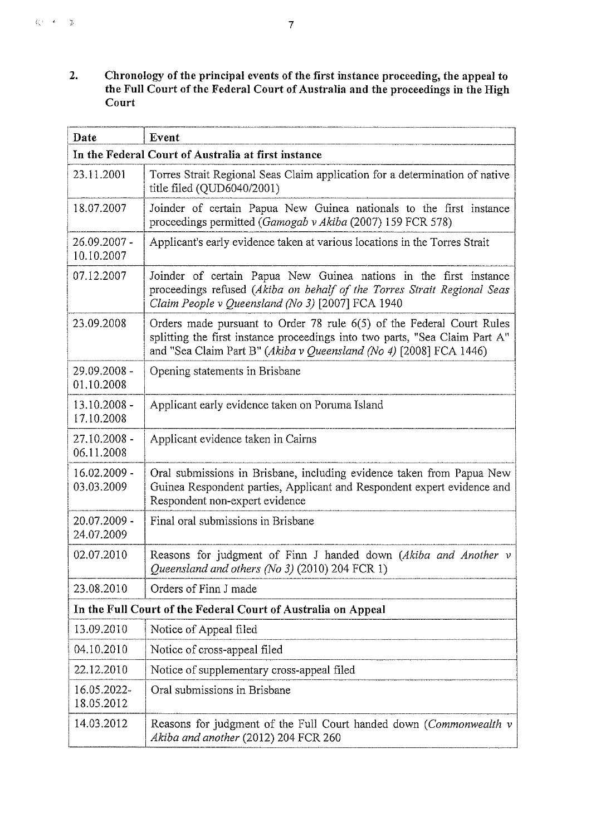**2.** Chronology of the principal events of the first instance proceeding, the appeal to **the Full Court of the Federal Court of Australia and the proceedings in the High Court** 

| Date                       | Event                                                                                                                                                                                                                      |
|----------------------------|----------------------------------------------------------------------------------------------------------------------------------------------------------------------------------------------------------------------------|
|                            | In the Federal Court of Australia at first instance                                                                                                                                                                        |
| 23.11.2001                 | Torres Strait Regional Seas Claim application for a determination of native<br>title filed (QUD6040/2001)                                                                                                                  |
| 18.07.2007                 | Joinder of certain Papua New Guinea nationals to the first instance<br>proceedings permitted (Gamogab v Akiba (2007) 159 FCR 578)                                                                                          |
| 26.09.2007 -<br>10.10.2007 | Applicant's early evidence taken at various locations in the Torres Strait                                                                                                                                                 |
| 07.12.2007                 | Joinder of certain Papua New Guinea nations in the first instance<br>proceedings refused (Akiba on behalf of the Torres Strait Regional Seas<br>Claim People v Queensland (No 3) [2007] FCA 1940                           |
| 23.09.2008                 | Orders made pursuant to Order 78 rule 6(5) of the Federal Court Rules<br>splitting the first instance proceedings into two parts, "Sea Claim Part A"<br>and "Sea Claim Part B" (Akiba v Queensland (No 4) [2008] FCA 1446) |
| 29.09.2008 -<br>01.10.2008 | Opening statements in Brisbane                                                                                                                                                                                             |
| 13.10.2008 -<br>17.10.2008 | Applicant early evidence taken on Poruma Island                                                                                                                                                                            |
| 27.10.2008 -<br>06.11.2008 | Applicant evidence taken in Cairns                                                                                                                                                                                         |
| 16.02.2009 -<br>03.03.2009 | Oral submissions in Brisbane, including evidence taken from Papua New<br>Guinea Respondent parties, Applicant and Respondent expert evidence and<br>Respondent non-expert evidence                                         |
| 20.07.2009 -<br>24.07.2009 | Final oral submissions in Brisbane                                                                                                                                                                                         |
| 02.07.2010                 | Reasons for judgment of Finn J handed down (Akiba and Another v<br>Queensland and others (No 3) (2010) 204 FCR 1)                                                                                                          |
| 23.08.2010                 | Orders of Finn J made                                                                                                                                                                                                      |
|                            | In the Full Court of the Federal Court of Australia on Appeal                                                                                                                                                              |
| 13.09.2010                 | Notice of Appeal filed                                                                                                                                                                                                     |
| 04.10.2010                 | Notice of cross-appeal filed                                                                                                                                                                                               |
| 22.12.2010                 | Notice of supplementary cross-appeal filed                                                                                                                                                                                 |
| 16.05.2022-<br>18.05.2012  | Oral submissions in Brisbane                                                                                                                                                                                               |
| 14.03.2012                 | Reasons for judgment of the Full Court handed down (Commonwealth v<br>Akiba and another (2012) 204 FCR 260                                                                                                                 |